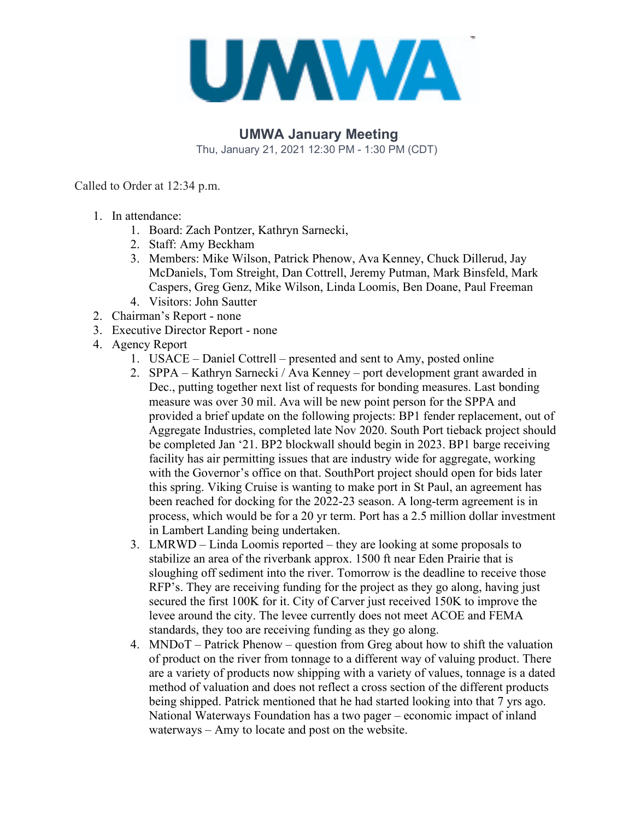

## **UMWA January Meeting**

Thu, January 21, 2021 12:30 PM - 1:30 PM (CDT)

Called to Order at 12:34 p.m.

- 1. In attendance:
	- 1. Board: Zach Pontzer, Kathryn Sarnecki,
	- 2. Staff: Amy Beckham
	- 3. Members: Mike Wilson, Patrick Phenow, Ava Kenney, Chuck Dillerud, Jay McDaniels, Tom Streight, Dan Cottrell, Jeremy Putman, Mark Binsfeld, Mark Caspers, Greg Genz, Mike Wilson, Linda Loomis, Ben Doane, Paul Freeman
	- 4. Visitors: John Sautter
- 2. Chairman's Report none
- 3. Executive Director Report none
- 4. Agency Report
	- 1. USACE Daniel Cottrell presented and sent to Amy, posted online
	- 2. SPPA Kathryn Sarnecki / Ava Kenney port development grant awarded in Dec., putting together next list of requests for bonding measures. Last bonding measure was over 30 mil. Ava will be new point person for the SPPA and provided a brief update on the following projects: BP1 fender replacement, out of Aggregate Industries, completed late Nov 2020. South Port tieback project should be completed Jan '21. BP2 blockwall should begin in 2023. BP1 barge receiving facility has air permitting issues that are industry wide for aggregate, working with the Governor's office on that. SouthPort project should open for bids later this spring. Viking Cruise is wanting to make port in St Paul, an agreement has been reached for docking for the 2022-23 season. A long-term agreement is in process, which would be for a 20 yr term. Port has a 2.5 million dollar investment in Lambert Landing being undertaken.
	- 3. LMRWD Linda Loomis reported they are looking at some proposals to stabilize an area of the riverbank approx. 1500 ft near Eden Prairie that is sloughing off sediment into the river. Tomorrow is the deadline to receive those RFP's. They are receiving funding for the project as they go along, having just secured the first 100K for it. City of Carver just received 150K to improve the levee around the city. The levee currently does not meet ACOE and FEMA standards, they too are receiving funding as they go along.
	- 4. MNDoT Patrick Phenow question from Greg about how to shift the valuation of product on the river from tonnage to a different way of valuing product. There are a variety of products now shipping with a variety of values, tonnage is a dated method of valuation and does not reflect a cross section of the different products being shipped. Patrick mentioned that he had started looking into that 7 yrs ago. National Waterways Foundation has a two pager – economic impact of inland waterways – Amy to locate and post on the website.